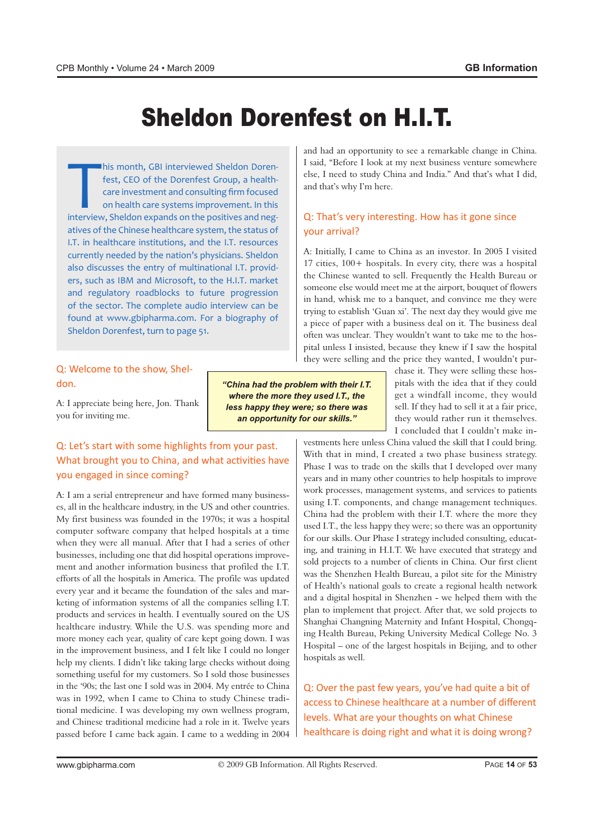# **Sheldon Dorenfest on H.I.T.**

his month, GBI interviewed Sheldon Doren<br>fest, CEO of the Dorenfest Group, a health<br>care investment and consulting firm focused<br>on health care systems improvement. In this<br>interview, Sheldon expands on the positives and ne care investment and consulting firm focused fest, CEO of the Dorenfest Group, a health-Ihis month, GBI interviewed Sheldon Dorenon health care systems improvement. In this atives of the Chinese healthcare system, the status of I.T. in healthcare institutions, and the I.T. resources currently needed by the nation's physicians. Sheldon ers, such as IBM and Microsoft, to the H.I.T. market also discusses the entry of multinational I.T. providand regulatory roadblocks to future progression of the sector. The complete audio interview can be found at www.gbipharma.com. For a biography of Sheldon Dorenfest, turn to page 51.

# Q: Welcome to the show, Shel-<br>don.

A: I appreciate being here, Jon. Thank you for inviting me.

#### Q: Let's start with some highlights from your past. What brought you to China, and what activities have you engaged in since coming?

es, all in the healthcare industry, in the US and other countries. A: I am a serial entrepreneur and have formed many business-My first business was founded in the 1970s; it was a hospital computer software company that helped hospitals at a time when they were all manual. After that I had a series of other ment and another information business that profiled the I.T. businesses, including one that did hospital operations improveefforts of all the hospitals in America. The profile was updated keting of information systems of all the companies selling I.T. every year and it became the foundation of the sales and marproducts and services in health. I eventually soured on the US healthcare industry. While the U.S. was spending more and more money each year, quality of care kept going down. I was in the improvement business, and I felt like I could no longer help my clients. I didn't like taking large checks without doing something useful for my customers. So I sold those businesses in the '90s; the last one I sold was in 2004. My entrée to China tional medicine. I was developing my own wellness program, was in 1992, when I came to China to study Chinese tradiand Chinese traditional medicine had a role in it. Twelve years passed before I came back again. I came to a wedding in 2004

"China had the problem with their I.T. where the more they used I.T., the less happy they were; so there was an opportunity for our skills."

and had an opportunity to see a remarkable change in China. I said. "Before I look at my next business venture somewhere else, I need to study China and India." And that's what I did, and that's why I'm here.

#### Q: That's very interesting. How has it gone since your arrival?

A: Initially, I came to China as an investor. In 2005 I visited 17 cities,  $100+$  hospitals. In every city, there was a hospital the Chinese wanted to sell. Frequently the Health Bureau or someone else would meet me at the airport, bouquet of flowers in hand, whisk me to a banquet, and convince me they were trying to establish 'Guan xi'. The next day they would give me a piece of paper with a business deal on it. The business deal pital unless I insisted, because they knew if I saw the hospitaloften was unclear. They wouldn't want to take me to the hosthey were selling and the price they wanted, I wouldn't pur-

pitals with the idea that if they could chase it. They were selling these hosget a windfall income, they would sell. If they had to sell it at a fair price, they would rather run it themselves. I concluded that I couldn't make in-

vestments here unless China valued the skill that I could bring. With that in mind, I created a two phase business strategy. Phase I was to trade on the skills that I developed over many years and in many other countries to help hospitals to improve work processes, management systems, and services to patients using I.T. components, and change management techniques. China had the problem with their I.T. where the more they used I.T., the less happy they were; so there was an opportunity ing, and training in H.I.T. We have executed that strategy and for our skills. Our Phase I strategy included consulting, educatsold projects to a number of clients in China. Our first client was the Shenzhen Health Bureau, a pilot site for the Ministry of Health's national goals to create a regional health network and a digital hospital in Shenzhen - we helped them with the plan to implement that project. After that, we sold projects to ing Health Bureau, Peking University Medical College No. 3 Shanghai Changning Maternity and Infant Hospital, Chongq-Hospital – one of the largest hospitals in Beijing, and to other hospitals as well.

Q: Over the past few years, you've had quite a bit of access to Chinese healthcare at a number of different levels. What are your thoughts on what Chinese healthcare is doing right and what it is doing wrong?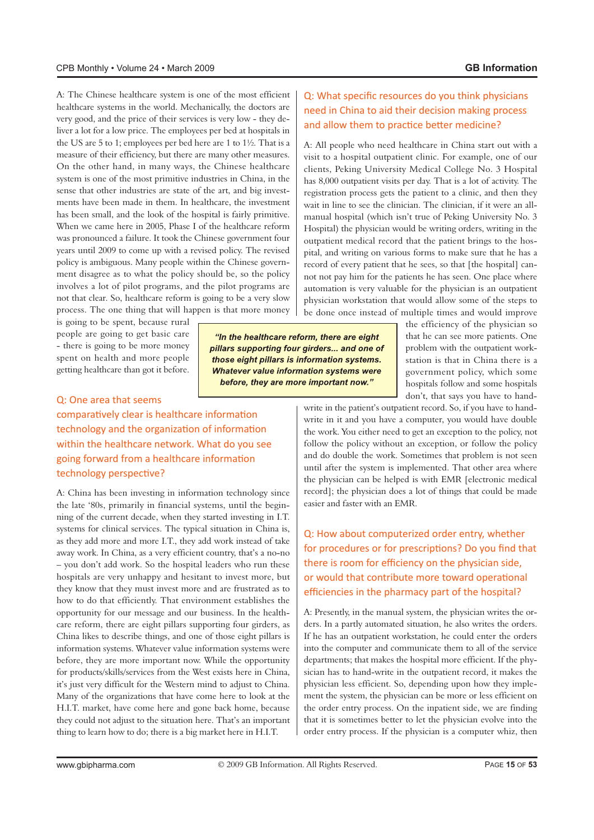A: The Chinese healthcare system is one of the most efficient healthcare systems in the world. Mechanically, the doctors are liver a lot for a low price. The employees per bed at hospitals in very good, and the price of their services is very low - they dethe US are 5 to 1; employees per bed here are 1 to  $1\frac{1}{2}$ . That is a measure of their efficiency, but there are many other measures. On the other hand, in many ways, the Chinese healthcare system is one of the most primitive industries in China, in the ments have been made in them. In healthcare, the investment sense that other industries are state of the art, and big investhas been small, and the look of the hospital is fairly primitive. When we came here in 2005, Phase I of the healthcare reform was pronounced a failure. It took the Chinese government four years until 2009 to come up with a revised policy. The revised ment disagree as to what the policy should be, so the policy policy is ambiguous. Many people within the Chinese governinvolves a lot of pilot programs, and the pilot programs are not that clear. So, healthcare reform is going to be a very slow process. The one thing that will happen is that more money

is going to be spent, because rural people are going to get basic care - there is going to be more money spent on health and more people getting healthcare than got it before.

#### Q: One area that seems

comparatively clear is healthcare information technology and the organization of information within the healthcare network. What do you see going forward from a healthcare information technology perspective?

A: China has been investing in information technology since ning of the current decade, when they started investing in I.T. the late '80s, primarily in financial systems, until the beginsystems for clinical services. The typical situation in China is, as they add more and more I.T., they add work instead of take away work. In China, as a very efficient country, that's a no-no - you don't add work. So the hospital leaders who run these hospitals are very unhappy and hesitant to invest more, but they know that they must invest more and are frustrated as to how to do that efficiently. That environment establishes the care reform, there are eight pillars supporting four girders, as opportunity for our message and our business. In the health-China likes to describe things, and one of those eight pillars is information systems. Whatever value information systems were before, they are more important now. While the opportunity for products/skills/services from the West exists here in China, it's just very difficult for the Western mind to adjust to China. Many of the organizations that have come here to look at the H.I.T. market, have come here and gone back home, because they could not adjust to the situation here. That's an important thing to learn how to do; there is a big market here in H.I.T.

#### Q: What specific resources do you think physicians need in China to aid their decision making process and allow them to practice better medicine?

A: All people who need healthcare in China start out with a visit to a hospital outpatient clinic. For example, one of our clients, Peking University Medical College No. 3 Hospital has 8,000 outpatient visits per day. That is a lot of activity. The registration process gets the patient to a clinic, and then they manual hospital (which isn't true of Peking University No. 3 wait in line to see the clinician. The clinician, if it were an all-Hospital) the physician would be writing orders, writing in the pital, and writing on various forms to make sure that he has a outpatient medical record that the patient brings to the hosnot not pay him for the patients he has seen. One place where record of every patient that he sees, so that [the hospital] canautomation is very valuable for the physician is an outpatient physician workstation that would allow some of the steps to be done once instead of multiple times and would improve

"In the healthcare reform, there are eight pillars supporting four girders... and one of those eight pillars is information systems. **Whatever value information systems were** before, they are more important now."

the efficiency of the physician so that he can see more patients. One station is that in China there is a problem with the outpatient workgovernment policy, which some hospitals follow and some hospitals don't, that says you have to hand-

write in it and you have a computer, you would have double write in the patient's outpatient record. So, if you have to handthe work. You either need to get an exception to the policy, not follow the policy without an exception, or follow the policy and do double the work. Sometimes that problem is not seen until after the system is implemented. That other area where the physician can be helped is with EMR [electronic medical record]; the physician does a lot of things that could be made easier and faster with an EMR.

## Q: How about computerized order entry, whether for procedures or for prescriptions? Do you find that there is room for efficiency on the physician side. or would that contribute more toward operational efficiencies in the pharmacy part of the hospital?

ders. In a partly automated situation, he also writes the orders. A: Presently, in the manual system, the physician writes the or-If he has an outpatient workstation, he could enter the orders into the computer and communicate them to all of the service sician has to hand-write in the outpatient record, it makes the departments; that makes the hospital more efficient. If the phyment the system, the physician can be more or less efficient on physician less efficient. So, depending upon how they implethe order entry process. On the inpatient side, we are finding that it is sometimes better to let the physician evolve into the order entry process. If the physician is a computer whiz, then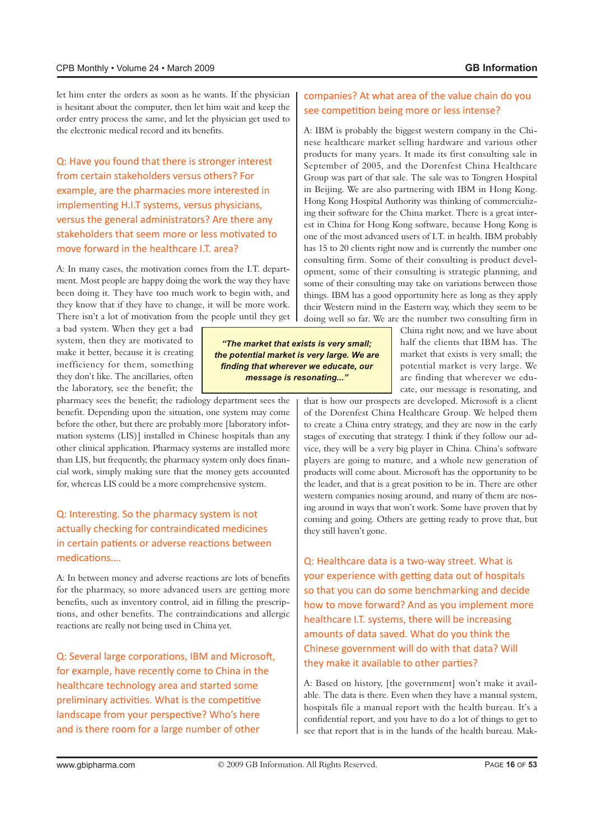let him enter the orders as soon as he wants. If the physician is hesitant about the computer, then let him wait and keep the order entry process the same, and let the physician get used to the electronic medical record and its benefits.

Q: Have you found that there is stronger interest from certain stakeholders versus others? For example, are the pharmacies more interested in implementing H.I.T systems, versus physicians, versus the general administrators? Are there any stakeholders that seem more or less motivated to move forward in the healthcare LT, area?

ment. Most people are happy doing the work the way they have A: In many cases, the motivation comes from the I.T. departbeen doing it. They have too much work to begin with, and they know that if they have to change, it will be more work. There isn't a lot of motivation from the people until they get

a bad system. When they get a bad system, then they are motivated to make it better, because it is creating inefficiency for them, something they don't like. The ancillaries, often the laboratory, see the benefit; the

pharmacy sees the benefit; the radiology department sees the benefit. Depending upon the situation, one system may come mation systems (LIS)] installed in Chinese hospitals than any before the other, but there are probably more [laboratory inforother clinical application. Pharmacy systems are installed more cial work, simply making sure that the money gets accounted than LIS, but frequently, the pharmacy system only does finanfor, whereas LIS could be a more comprehensive system.

#### Q: Interesting. So the pharmacy system is not actually checking for contraindicated medicines in certain patients or adverse reactions between medications....

A: In between money and adverse reactions are lots of benefits for the pharmacy, so more advanced users are getting more tions, and other benefits. The contraindications and allergic benefits, such as inventory control, aid in filling the prescripreactions are really not being used in China yet.

Q: Several large corporations, IBM and Microsoft, for example, have recently come to China in the healthcare technology area and started some preliminary activities. What is the competitive landscape from your perspective? Who's here and is there room for a large number of other

#### companies? At what area of the value chain do you see competition being more or less intense?

nese healthcare market selling hardware and various other A: IBM is probably the biggest western company in the Chiproducts for many years. It made its first consulting sale in September of 2005, and the Dorenfest China Healthcare Group was part of that sale. The sale was to Tongren Hospital in Beijing. We are also partnering with IBM in Hong Kong. est in China for Hong Kong software, because Hong Kong is ing their software for the China market. There is a great inter-Hong Kong Hospital Authority was thinking of commercializone of the most advanced users of I.T. in health. IBM probably has 15 to 20 clients right now and is currently the number one opment, some of their consulting is strategic planning, and consulting firm. Some of their consulting is product develsome of their consulting may take on variations between those things. IBM has a good opportunity here as long as they apply their Western mind in the Eastern way, which they seem to be doing well so far. We are the number two consulting firm in

"The market that exists is very small; the potential market is very large. We are finding that wherever we educate, our message is resonating..."

China right now, and we have about half the clients that IBM has. The market that exists is very small; the potential market is very large. We cate, our message is resonating, and are finding that wherever we edu-

that is how our prospects are developed. Microsoft is a client of the Dorenfest China Healthcare Group. We helped them to create a China entry strategy, and they are now in the early vice, they will be a very big player in China. China's software stages of executing that strategy. I think if they follow our adplayers are going to mature, and a whole new generation of products will come about. Microsoft has the opportunity to be the leader, and that is a great position to be in. There are other ing around in ways that won't work. Some have proven that by western companies nosing around, and many of them are noscoming and going. Others are getting ready to prove that, but they still haven't gone.

Q: Healthcare data is a two-way street. What is your experience with getting data out of hospitals so that you can do some benchmarking and decide how to move forward? And as you implement more healthcare I.T. systems, there will be increasing amounts of data saved. What do you think the Chinese government will do with that data? Will they make it available to other parties?

able. The data is there. Even when they have a manual system. A: Based on history, [the government] won't make it availhospitals file a manual report with the health bureau. It's a confidential report, and you have to do a lot of things to get to see that report that is in the hands of the health bureau. Mak-